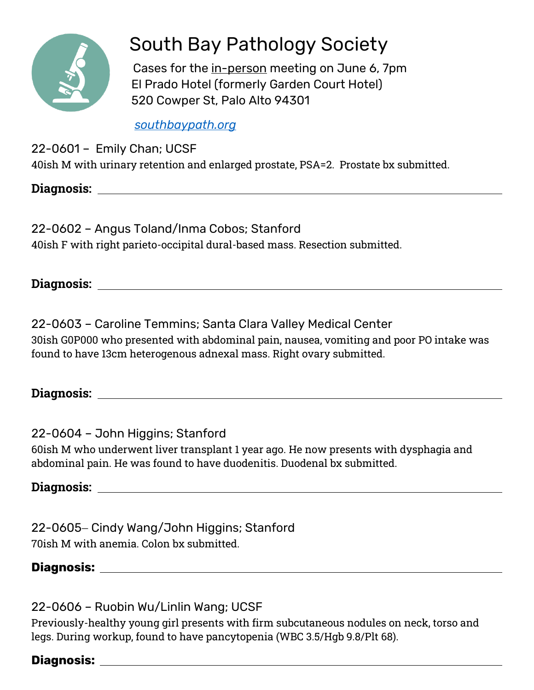

# South Bay Pathology Society

 Cases for the in-person meeting on June 6, 7pm El Prado Hotel (formerly Garden Court Hotel) 520 Cowper St, Palo Alto 94301

## *[southbaypath.org](https://southbaypath.org/)*

22-0601 – Emily Chan; UCSF

40ish M with urinary retention and enlarged prostate, PSA=2. Prostate bx submitted.

**Diagnosis:** 

22-0602 – Angus Toland/Inma Cobos; Stanford 40ish F with right parieto-occipital dural-based mass. Resection submitted.

**Diagnosis:** 

22-0603 – Caroline Temmins; Santa Clara Valley Medical Center 30ish G0P000 who presented with abdominal pain, nausea, vomiting and poor PO intake was found to have 13cm heterogenous adnexal mass. Right ovary submitted.

**Diagnosis:** 

22-0604 – John Higgins; Stanford 60ish M who underwent liver transplant 1 year ago. He now presents with dysphagia and abdominal pain. He was found to have duodenitis. Duodenal bx submitted.

**Diagnosis:** 

22-0605 – Cindy Wang/John Higgins; Stanford 70ish M with anemia. Colon bx submitted.

# **Diagnosis:**

22-0606 – Ruobin Wu/Linlin Wang; UCSF

Previously-healthy young girl presents with firm subcutaneous nodules on neck, torso and legs. During workup, found to have pancytopenia (WBC 3.5/Hgb 9.8/Plt 68).

# **Diagnosis:**